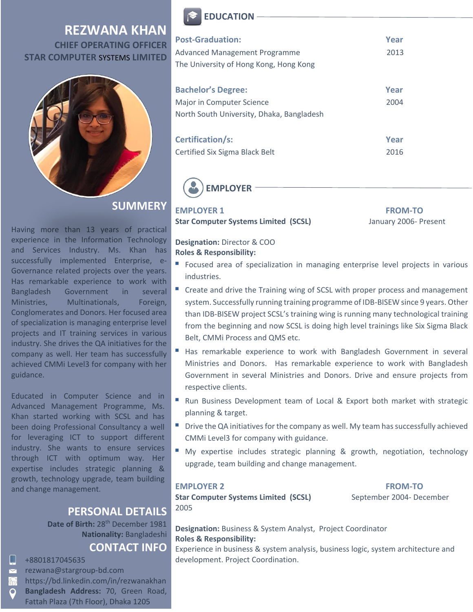## **REZWANA KHAN CHIEF OPERATING OFFICER STAR COMPUTER** SYSTEMS **LIMITED**



**SUMMERY**

Having more than 13 years of practical experience in the Information Technology and Services Industry. Ms. Khan has successfully implemented Enterprise, e-Governance related projects over the years. Has remarkable experience to work with Bangladesh Government in several Ministries, Multinationals, Foreign, Conglomerates and Donors. Her focused area of specialization is managing enterprise level projects and IT training services in various industry. She drives the QA initiatives for the company as well. Her team has successfully achieved CMMi Level3 for company with her guidance.

Educated in Computer Science and in Advanced Management Programme, Ms. Khan started working with SCSL and has been doing Professional Consultancy a well for leveraging ICT to support different industry. She wants to ensure services through ICT with optimum way. Her expertise includes strategic planning & growth, technology upgrade, team building and change management.

### **PERSONAL DETAILS**

**Date of Birth:** 28th December 1981 **Nationality:** Bangladeshi

# **CONTACT INFO**

- Ш +8801817045635
- [rezwana@stargroup-bd.com](mailto:rezwana@stargroup-bd.com)
- <https://bd.linkedin.com/in/rezwanakhan> ⋒
	- **Bangladesh Address:** 70, Green Road, Fattah Plaza (7th Floor), Dhaka 1205



| <b>Post-Graduation:</b><br><b>Advanced Management Programme</b><br>The University of Hong Kong, Hong Kong | Year<br>2013 |
|-----------------------------------------------------------------------------------------------------------|--------------|
| <b>Bachelor's Degree:</b><br>Major in Computer Science<br>North South University, Dhaka, Bangladesh       | Year<br>2004 |
| <b>Certification/s:</b><br>Certified Six Sigma Black Belt                                                 | Year<br>2016 |



**EMPLOYER 1** FROM-TO

**Star Computer Systems Limited (SCSL)** January 2006- Present

**Designation:** Director & COO **Roles & Responsibility:** 

- Focused area of specialization in managing enterprise level projects in various industries.
- Create and drive the Training wing of SCSL with proper process and management system. Successfully running training programme of IDB-BISEW since 9 years. Other than IDB-BISEW project SCSL's training wing is running many technological training from the beginning and now SCSL is doing high level trainings like Six Sigma Black Belt, CMMi Process and QMS etc.
- Has remarkable experience to work with Bangladesh Government in several Ministries and Donors. Has remarkable experience to work with Bangladesh Government in several Ministries and Donors. Drive and ensure projects from respective clients.
- Run Business Development team of Local & Export both market with strategic planning & target.
- **Drive the QA initiatives for the company as well. My team has successfully achieved** CMMi Level3 for company with guidance.
- My expertise includes strategic planning & growth, negotiation, technology upgrade, team building and change management.

**EMPLOYER 2** FROM-TO

Star Computer Systems Limited (SCSL) September 2004- December 2005

**Designation:** Business & System Analyst, Project Coordinator **Roles & Responsibility:** 

Experience in business & system analysis, business logic, system architecture and development. Project Coordination.